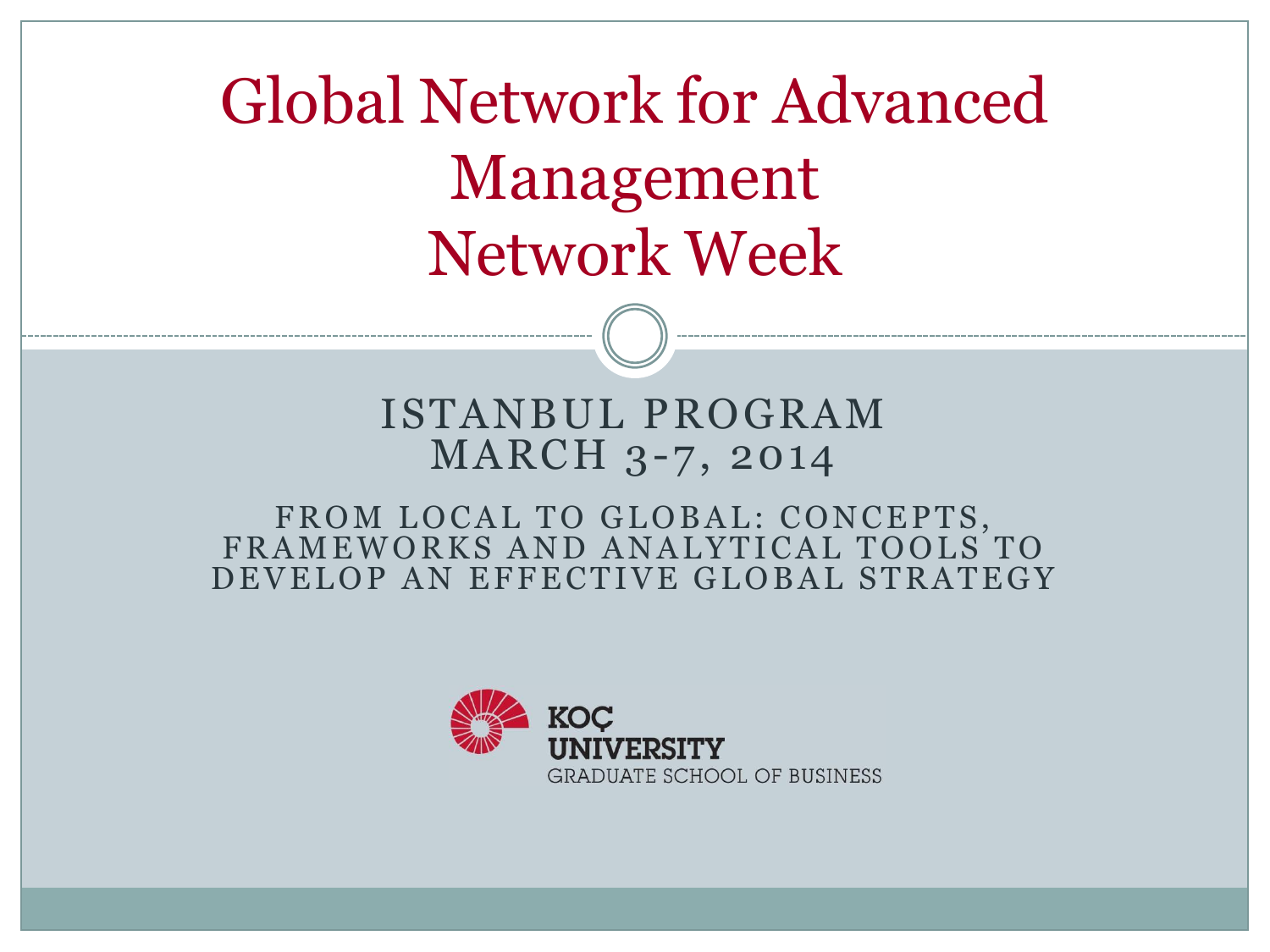Global Network for Advanced Management Network Week

### ISTANBUL PROGRAM MARCH 3-7, 2014

### FROM LOCAL TO GLOBAL: CONCEPTS, FRAMEWORKS AND ANALYTICAL TOOLS TO DEVELOP AN EFFECTIVE GLOBAL STRATEGY

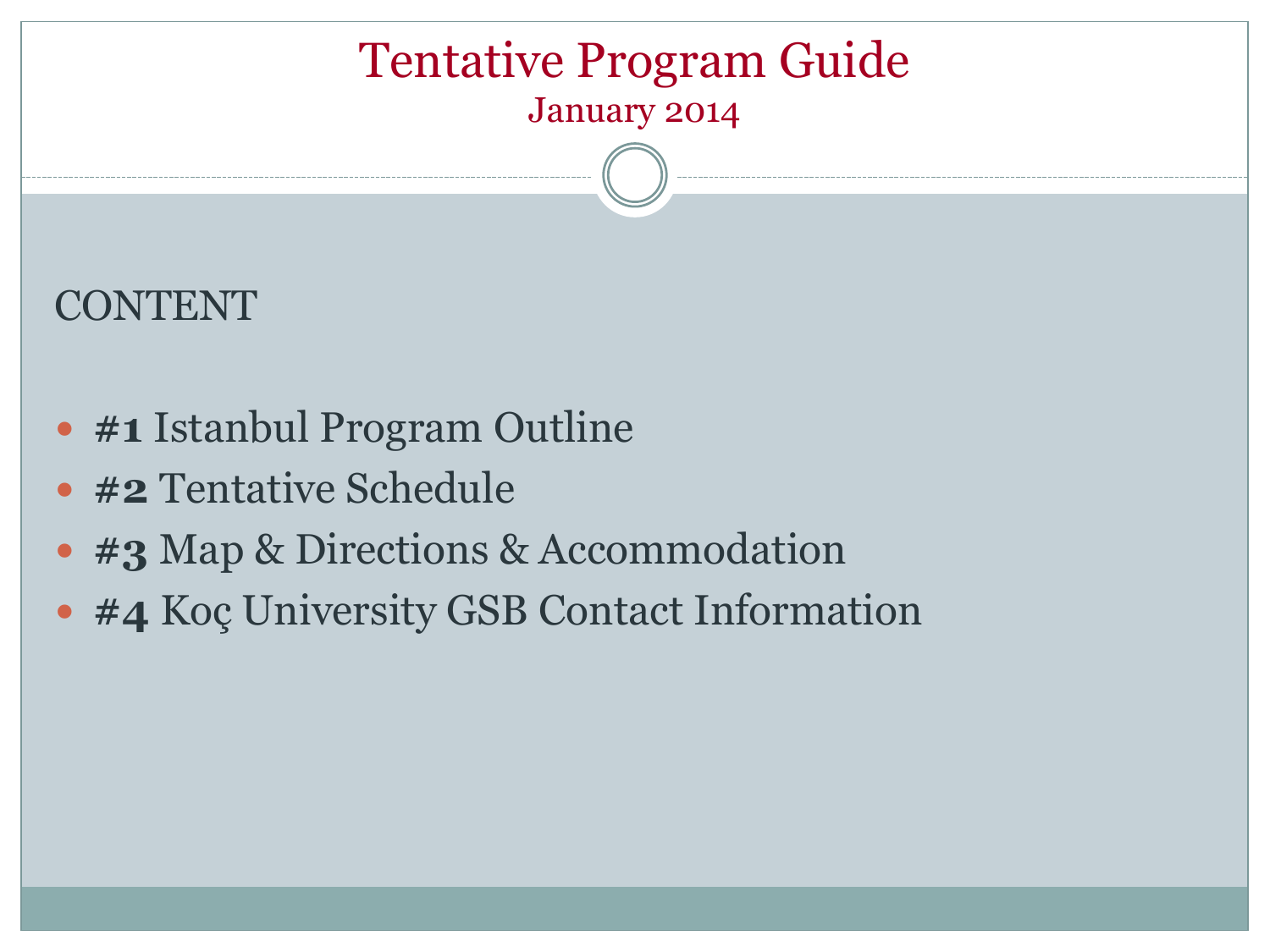### Tentative Program Guide January 2014

### CONTENT

- **#1** Istanbul Program Outline
- **#2** Tentative Schedule
- **#3** Map & Directions & Accommodation
- **#4** Koç University GSB Contact Information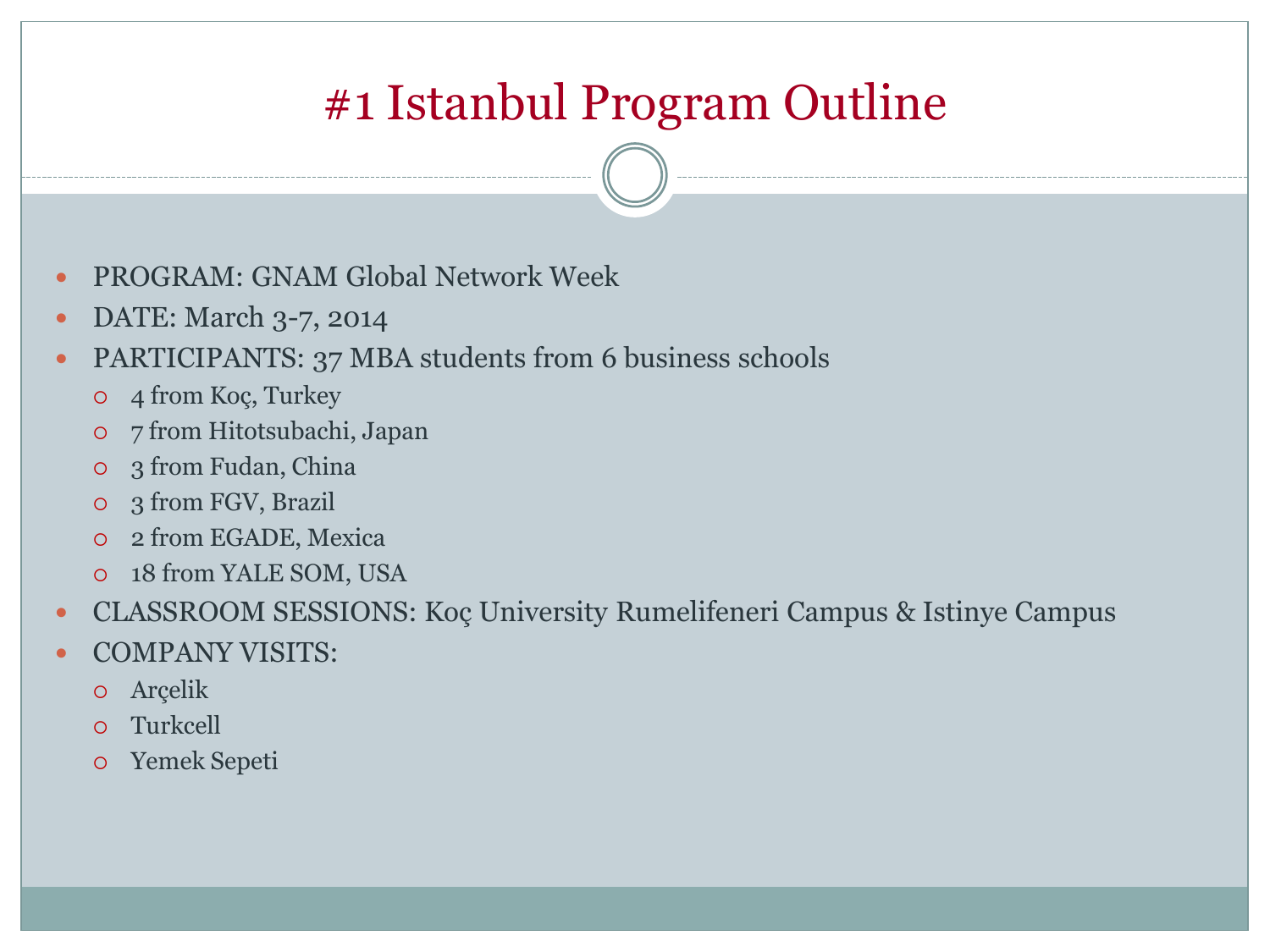# #1 Istanbul Program Outline

- PROGRAM: GNAM Global Network Week
- DATE: March 3-7, 2014
- PARTICIPANTS: 37 MBA students from 6 business schools
	- 4 from Koç, Turkey
	- 7 from Hitotsubachi, Japan
	- 3 from Fudan, China
	- 3 from FGV, Brazil
	- 2 from EGADE, Mexica
	- 18 from YALE SOM, USA
- CLASSROOM SESSIONS: Koç University Rumelifeneri Campus & Istinye Campus
- COMPANY VISITS:
	- Arçelik
	- Turkcell
	- Yemek Sepeti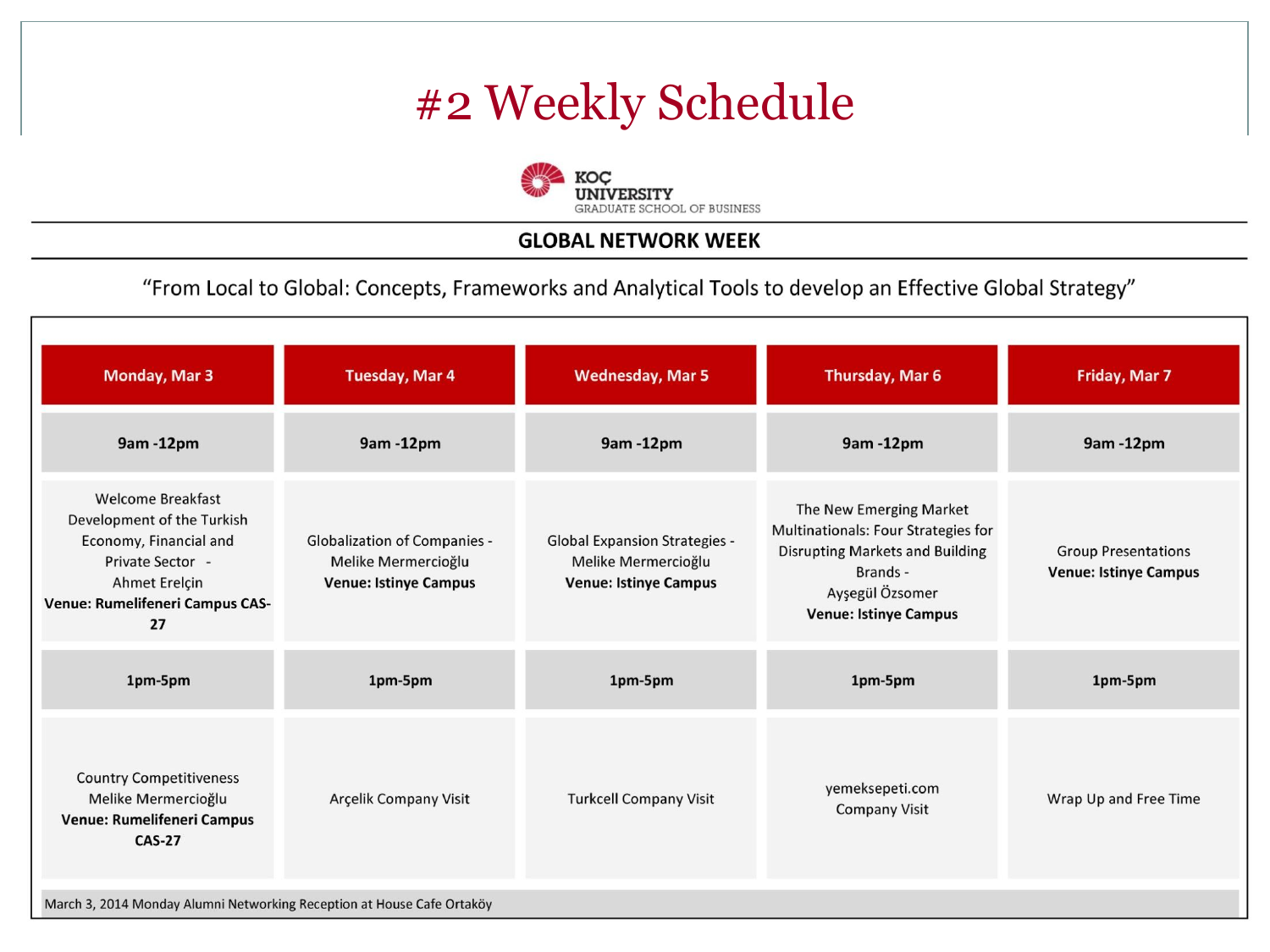### #2 Weekly Schedule



#### **GLOBAL NETWORK WEEK**

"From Local to Global: Concepts, Frameworks and Analytical Tools to develop an Effective Global Strategy"

| <b>Monday, Mar 3</b>                                                                                                                                           | <b>Tuesday, Mar 4</b>                                                                      | <b>Wednesday, Mar 5</b>                                                                     | Thursday, Mar 6                                                                                                                                                         | Friday, Mar 7                                              |
|----------------------------------------------------------------------------------------------------------------------------------------------------------------|--------------------------------------------------------------------------------------------|---------------------------------------------------------------------------------------------|-------------------------------------------------------------------------------------------------------------------------------------------------------------------------|------------------------------------------------------------|
| 9am-12pm                                                                                                                                                       | 9am -12pm                                                                                  | 9am -12pm                                                                                   | 9am -12pm                                                                                                                                                               | 9am -12pm                                                  |
| <b>Welcome Breakfast</b><br>Development of the Turkish<br>Economy, Financial and<br>Private Sector -<br>Ahmet Erelçin<br>Venue: Rumelifeneri Campus CAS-<br>27 | <b>Globalization of Companies -</b><br>Melike Mermercioğlu<br><b>Venue: Istinye Campus</b> | <b>Global Expansion Strategies -</b><br>Melike Mermercioğlu<br><b>Venue: Istinye Campus</b> | The New Emerging Market<br>Multinationals: Four Strategies for<br><b>Disrupting Markets and Building</b><br>Brands -<br>Ayşegül Özsomer<br><b>Venue: Istinye Campus</b> | <b>Group Presentations</b><br><b>Venue: Istinye Campus</b> |
| 1pm-5pm                                                                                                                                                        | 1pm-5pm                                                                                    | 1pm-5pm                                                                                     | 1pm-5pm                                                                                                                                                                 | 1pm-5pm                                                    |
| <b>Country Competitiveness</b><br>Melike Mermercioğlu<br>Venue: Rumelifeneri Campus<br><b>CAS-27</b>                                                           | Arçelik Company Visit                                                                      | <b>Turkcell Company Visit</b>                                                               | yemeksepeti.com<br><b>Company Visit</b>                                                                                                                                 | Wrap Up and Free Time                                      |
| March 3, 2014 Monday Alumni Networking Reception at House Cafe Ortaköy                                                                                         |                                                                                            |                                                                                             |                                                                                                                                                                         |                                                            |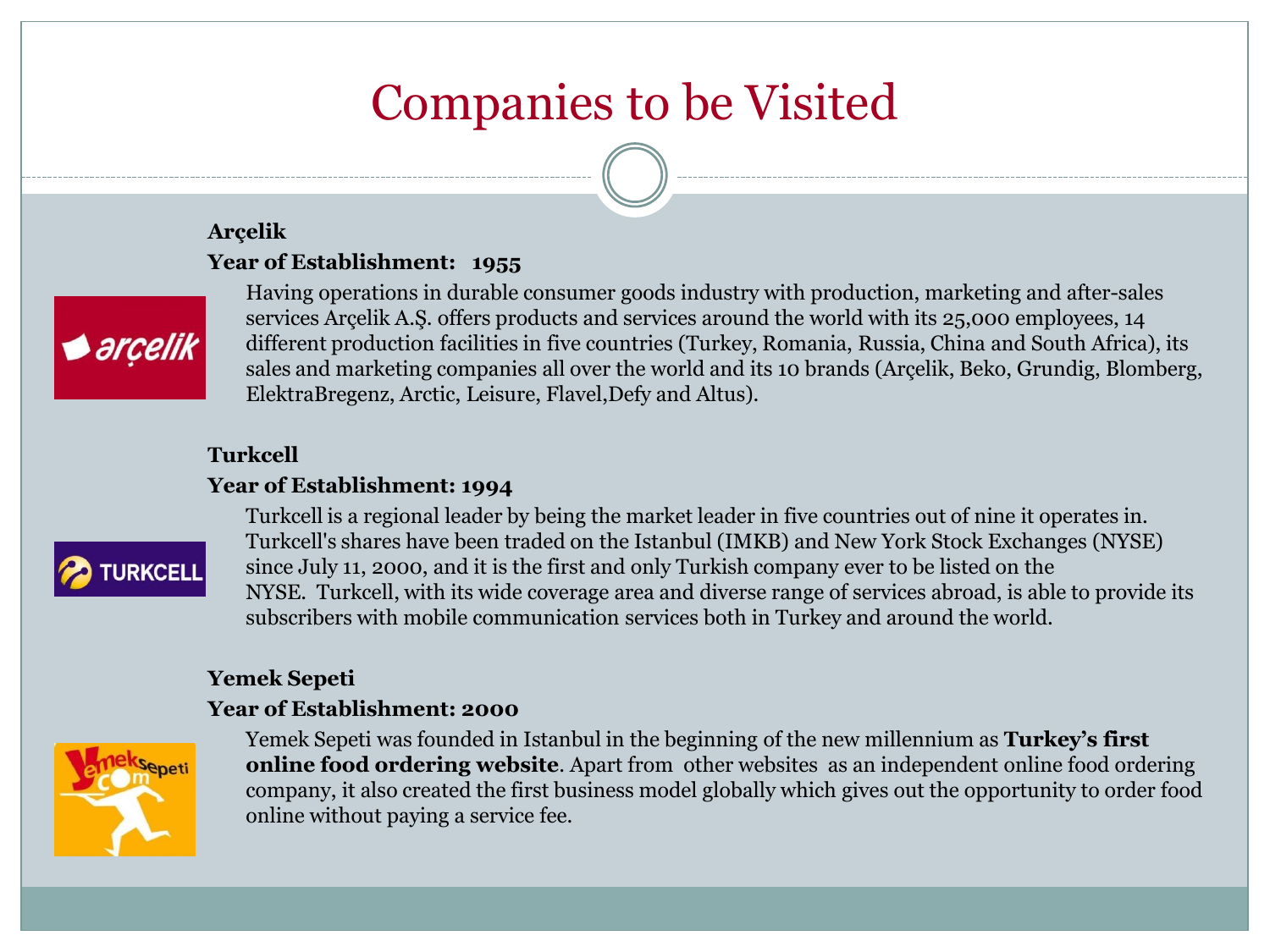# Companies to be Visited

#### **Arçelik Year of Establishment: 1955**



Having operations in durable consumer goods industry with production, marketing and after-sales services Arçelik A.Ş. offers products and services around the world with its 25,000 employees, 14 different production facilities in five countries (Turkey, Romania, Russia, China and South Africa), its sales and marketing companies all over the world and its 10 brands (Arçelik, Beko, Grundig, Blomberg, ElektraBregenz, Arctic, Leisure, Flavel,Defy and Altus).

#### **Turkcell**

#### **Year of Establishment: 1994**



Turkcell is a regional leader by being the market leader in five countries out of nine it operates in. Turkcell's shares have been traded on the Istanbul (IMKB) and New York Stock Exchanges (NYSE) since July 11, 2000, and it is the first and only Turkish company ever to be listed on the NYSE. Turkcell, with its wide coverage area and diverse range of services abroad, is able to provide its subscribers with mobile communication services both in Turkey and around the world.

#### **Yemek Sepeti**

#### **Year of Establishment: 2000**



Yemek Sepeti was founded in Istanbul in the beginning of the new millennium as **Turkey's first online food ordering website**. Apart from other websites as an independent online food ordering company, it also created the first business model globally which gives out the opportunity to order food online without paying a service fee.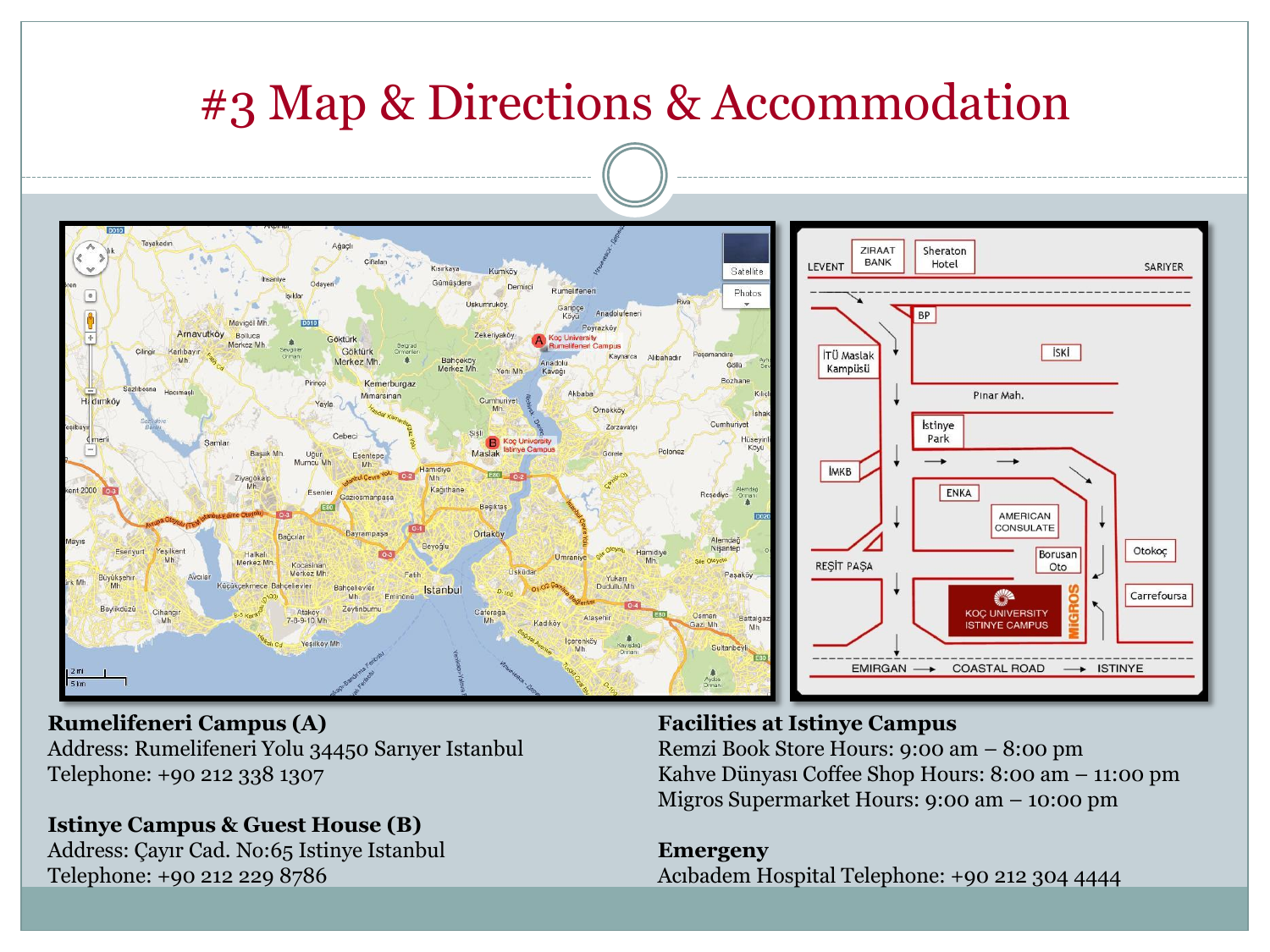

#### **Rumelifeneri Campus (A)**

Address: Rumelifeneri Yolu 34450 Sarıyer Istanbul Telephone: +90 212 338 1307

#### **Istinye Campus & Guest House (B)**

Address: Çayır Cad. No:65 Istinye Istanbul Telephone: +90 212 229 8786

#### **Facilities at Istinye Campus**

Remzi Book Store Hours: 9:00 am – 8:00 pm Kahve Dünyası Coffee Shop Hours: 8:00 am – 11:00 pm Migros Supermarket Hours: 9:00 am – 10:00 pm

#### **Emergeny**

Acıbadem Hospital Telephone: +90 212 304 4444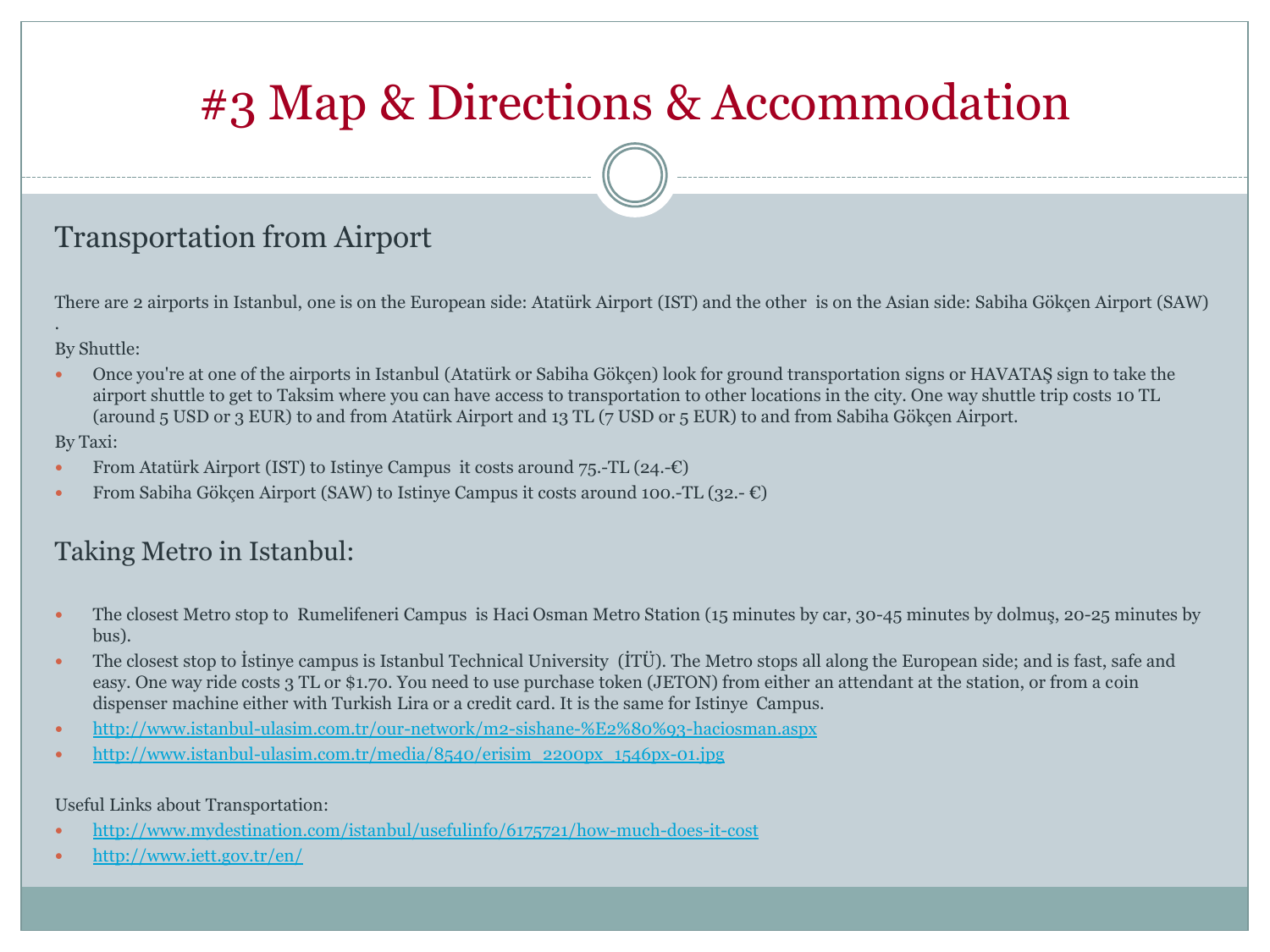### Transportation from Airport

There are 2 airports in Istanbul, one is on the European side: Atatürk Airport (IST) and the other is on the Asian side: Sabiha Gökçen Airport (SAW)

#### By Shuttle:

.

 Once you're at one of the airports in Istanbul (Atatürk or Sabiha Gökçen) look for ground transportation signs or HAVATAŞ sign to take the airport shuttle to get to Taksim where you can have access to transportation to other locations in the city. One way shuttle trip costs 10 TL (around 5 USD or 3 EUR) to and from Atatürk Airport and 13 TL (7 USD or 5 EUR) to and from Sabiha Gökçen Airport.

#### By Taxi:

- From Atatürk Airport (IST) to Istinye Campus it costs around  $75$ .-TL (24.-€)
- From Sabiha Gökçen Airport (SAW) to Istinye Campus it costs around 100.-TL (32.-  $\epsilon$ )

### Taking Metro in Istanbul:

- The closest Metro stop to Rumelifeneri Campus is Haci Osman Metro Station (15 minutes by car, 30-45 minutes by dolmuş, 20-25 minutes by bus).
- The closest stop to İstinye campus is Istanbul Technical University (İTÜ). The Metro stops all along the European side; and is fast, safe and easy. One way ride costs 3 TL or \$1.70. You need to use purchase token (JETON) from either an attendant at the station, or from a coin dispenser machine either with Turkish Lira or a credit card. It is the same for Istinye Campus.
- <http://www.istanbul-ulasim.com.tr/our-network/m2-sishane-%E2%80%93-haciosman.aspx>
- [http://www.istanbul-ulasim.com.tr/media/8540/erisim\\_2200px\\_1546px-01.jpg](http://www.istanbul-ulasim.com.tr/media/8540/erisim_2200px_1546px-01.jpg)

#### Useful Links about Transportation:

- <http://www.mydestination.com/istanbul/usefulinfo/6175721/how-much-does-it-cost>
- <http://www.iett.gov.tr/en/>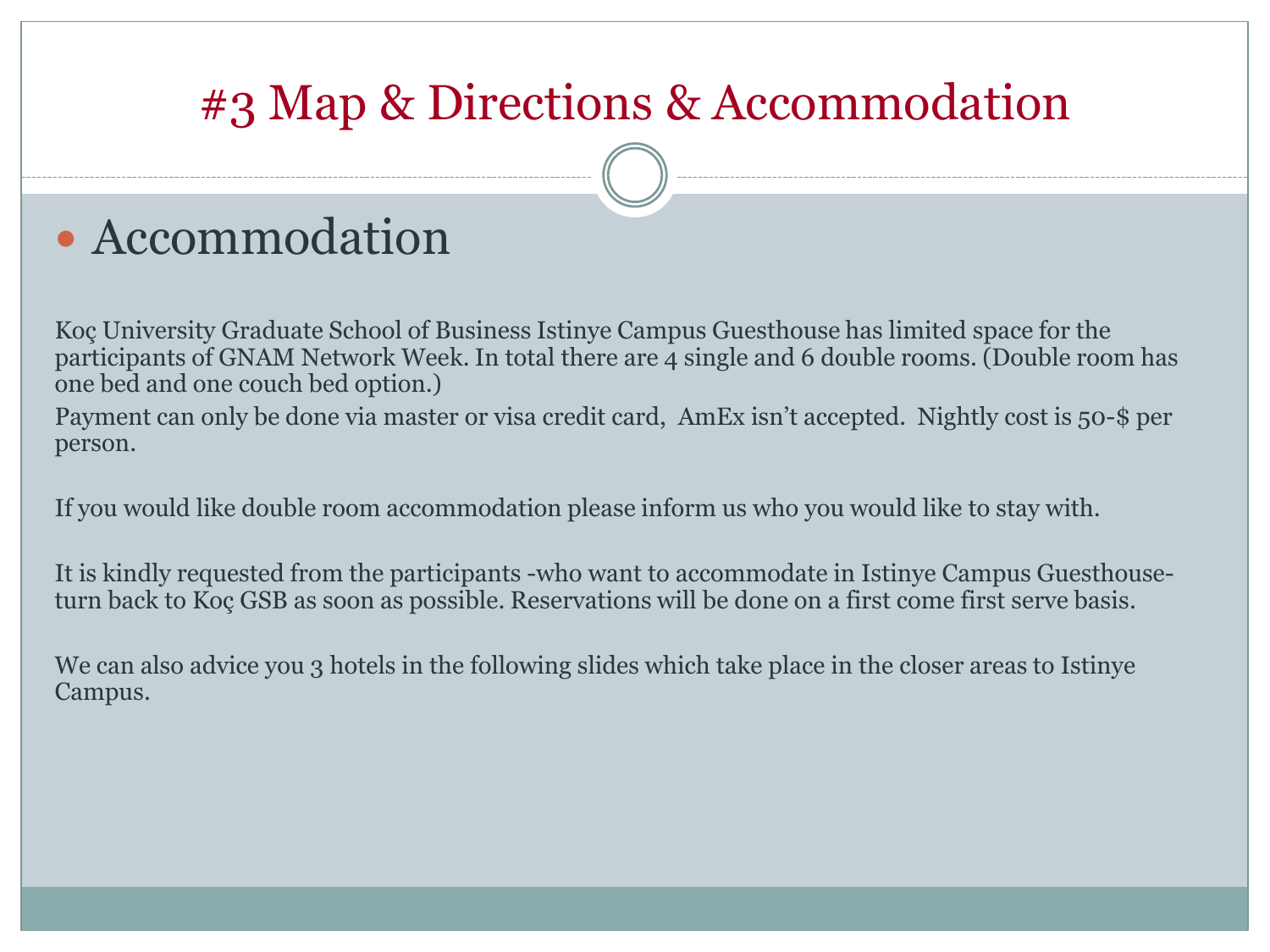# • Accommodation

Koç University Graduate School of Business Istinye Campus Guesthouse has limited space for the participants of GNAM Network Week. In total there are 4 single and 6 double rooms. (Double room has one bed and one couch bed option.)

Payment can only be done via master or visa credit card, AmEx isn't accepted. Nightly cost is 50-\$ per person.

If you would like double room accommodation please inform us who you would like to stay with.

It is kindly requested from the participants -who want to accommodate in Istinye Campus Guesthouseturn back to Koç GSB as soon as possible. Reservations will be done on a first come first serve basis.

We can also advice you 3 hotels in the following slides which take place in the closer areas to Istinye Campus.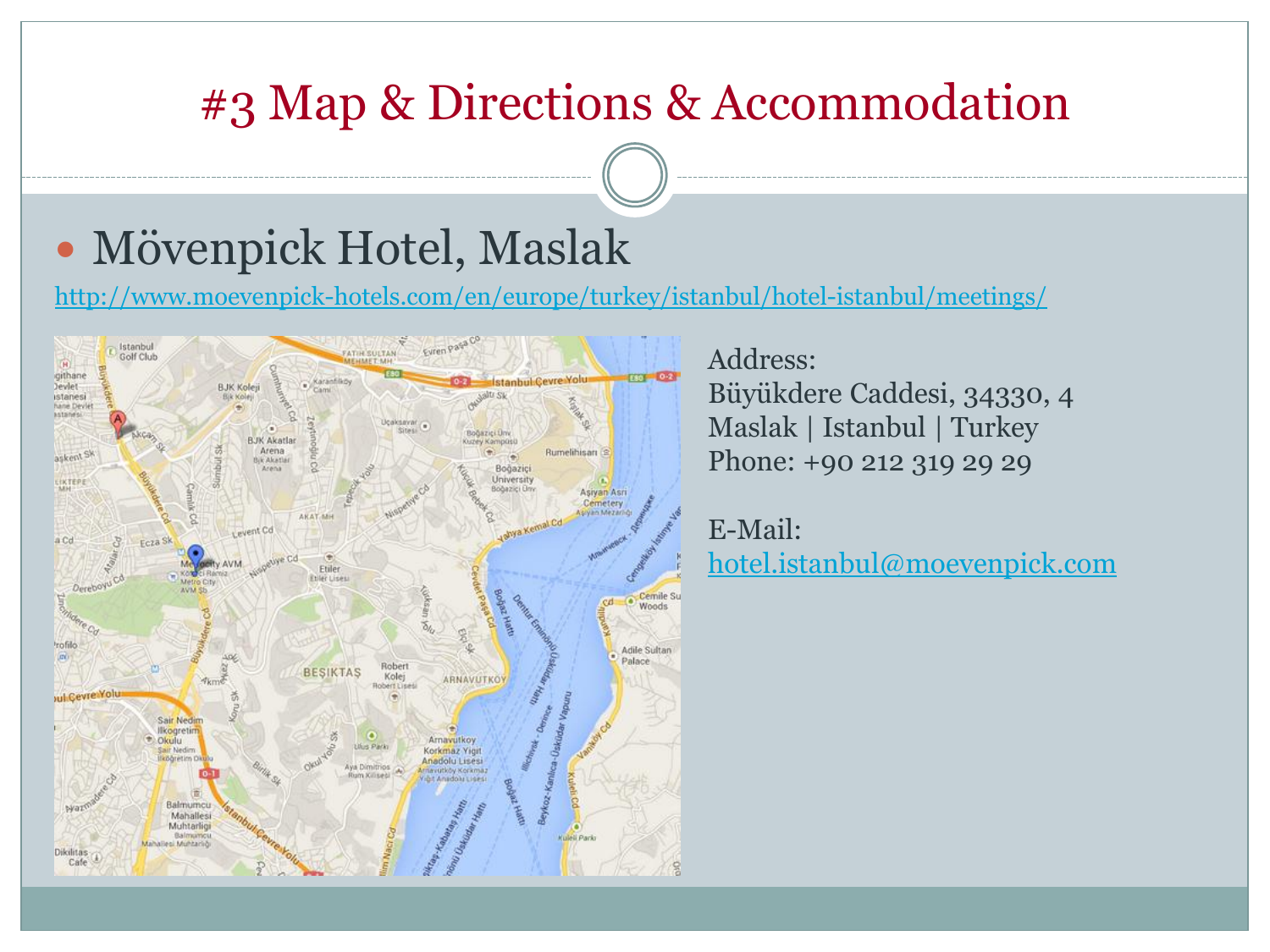# Mövenpick Hotel, Maslak

<http://www.moevenpick-hotels.com/en/europe/turkey/istanbul/hotel-istanbul/meetings/>



Address: Büyükdere Caddesi, 34330, 4 Maslak | Istanbul | Turkey Phone: +90 212 319 29 29

E-Mail: [hotel.istanbul@moevenpick.com](mailto:hotel.istanbul@moevenpick.com)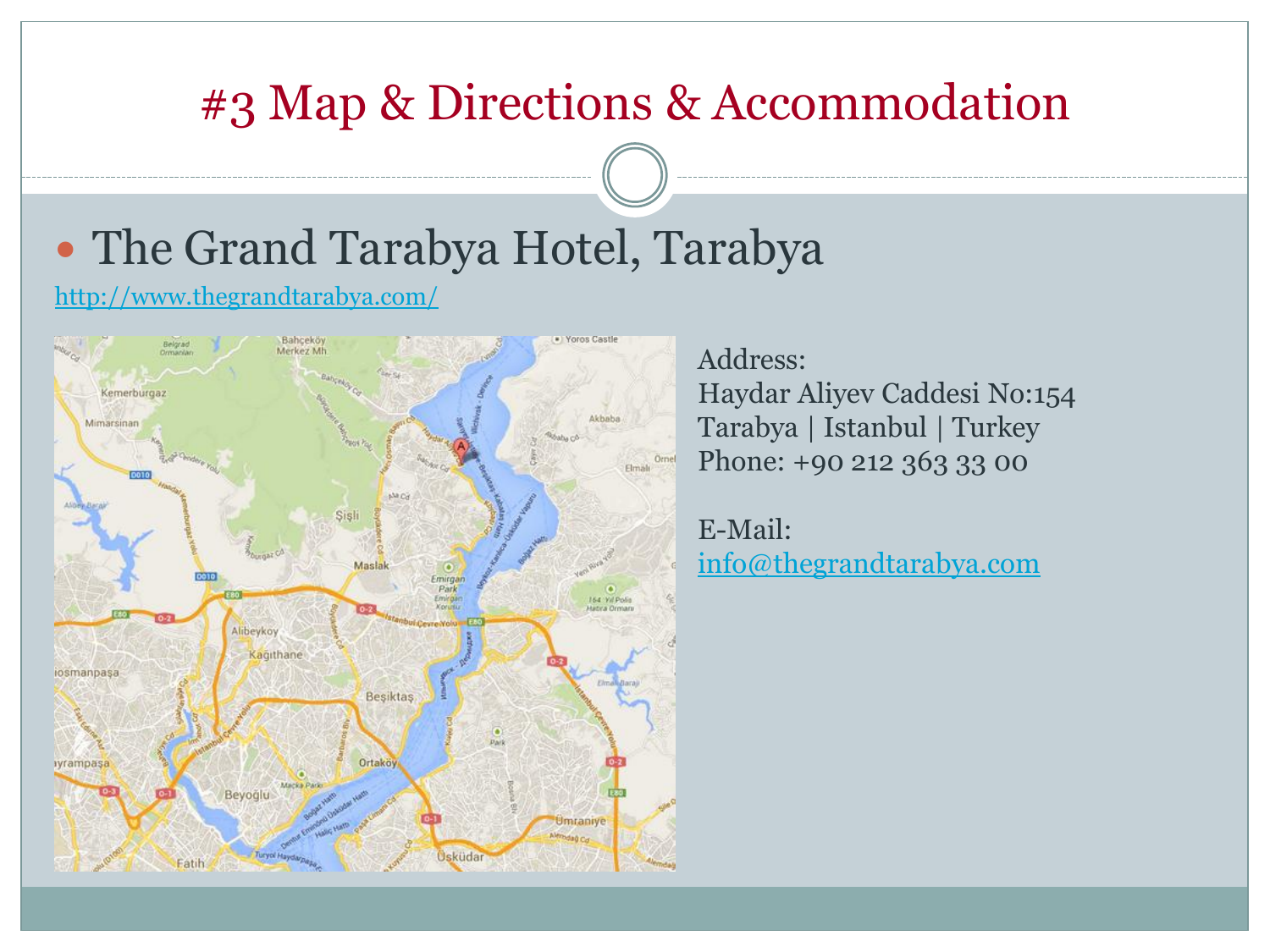# The Grand Tarabya Hotel, Tarabya

<http://www.thegrandtarabya.com/>



Address: Haydar Aliyev Caddesi No:154 Tarabya | Istanbul | Turkey Phone: +90 212 363 33 00

E-Mail: [info@thegrandtarabya.com](mailto:info@thegrandtarabya.com)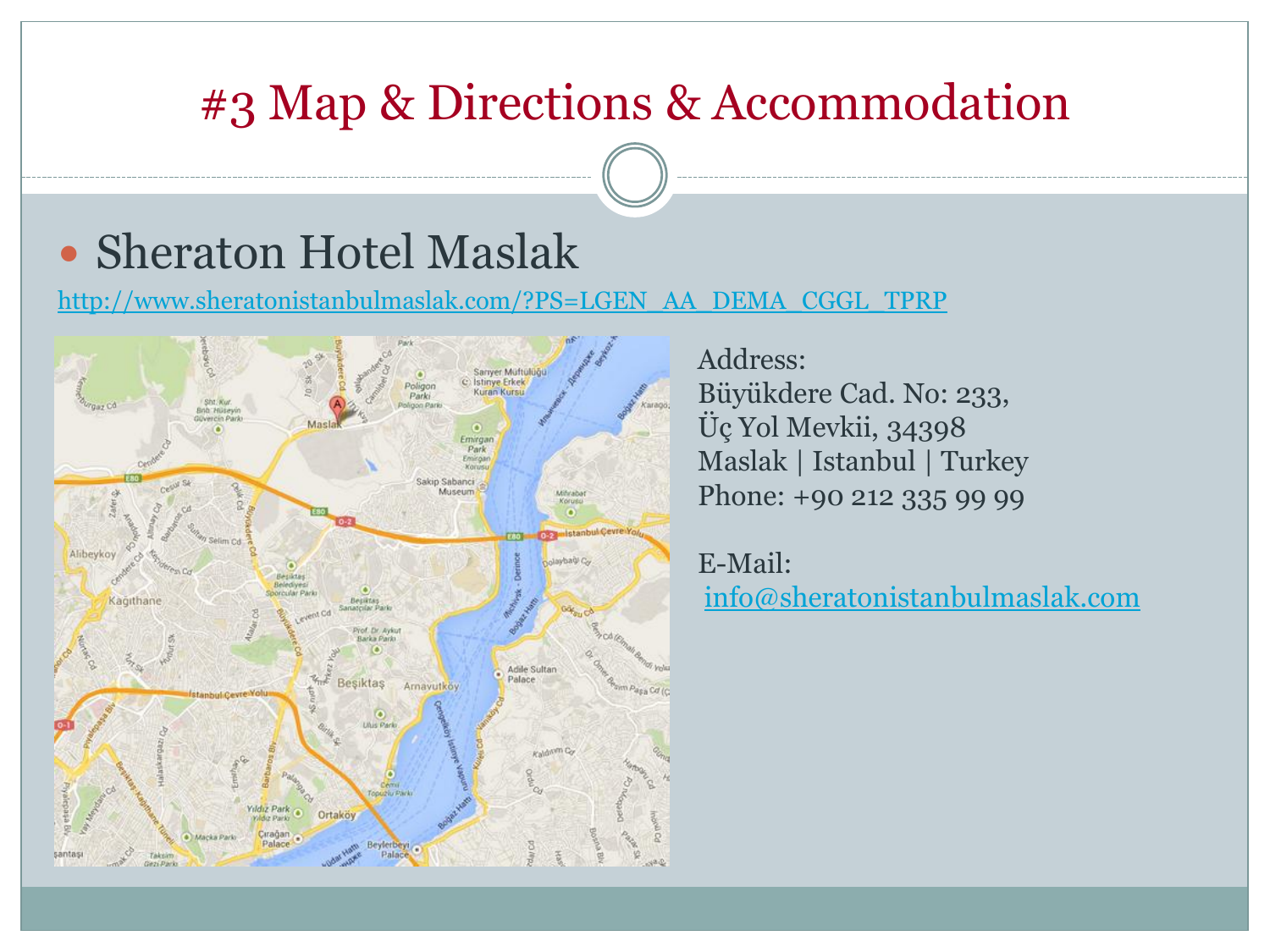## Sheraton Hotel Maslak

[http://www.sheratonistanbulmaslak.com/?PS=LGEN\\_AA\\_DEMA\\_CGGL\\_TPRP](http://www.sheratonistanbulmaslak.com/?PS=LGEN_AA_DEMA_CGGL_TPRP)



Address: Büyükdere Cad. No: 233, Üç Yol Mevkii, 34398 Maslak | Istanbul | Turkey Phone: +90 212 335 99 99

E-Mail: [info@sheratonistanbulmaslak.com](mailto:info@sheratonistanbulmaslak.com)